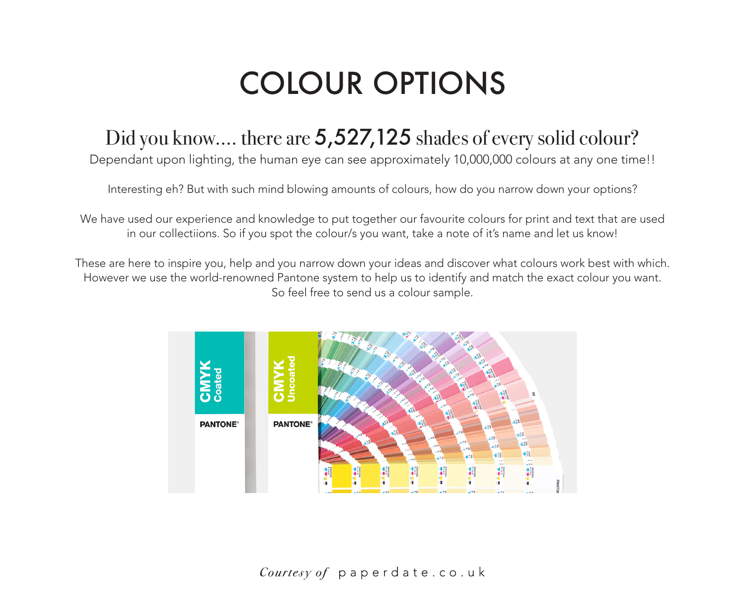## COLOUR OPTIONS

## Did you know.... there are 5,527,125 shades of every solid colour?

Dependant upon lighting, the human eye can see approximately 10,000,000 colours at any one time!!

Interesting eh? But with such mind blowing amounts of colours, how do you narrow down your options?

We have used our experience and knowledge to put together our favourite colours for print and text that are used in our collectiions. So if you spot the colour/s you want, take a note of it's name and let us know!

These are here to inspire you, help and you narrow down your ideas and discover what colours work best with which. However we use the world-renowned Pantone system to help us to identify and match the exact colour you want. So feel free to send us a colour sample.

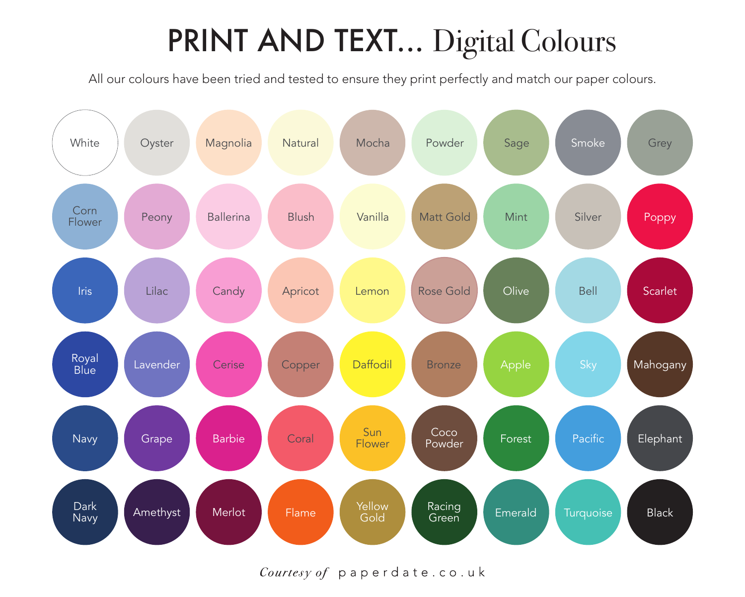## PRINT AND TEXT... Digital Colours

All our colours have been tried and tested to ensure they print perfectly and match our paper colours.



Courtesy of paperdate.co.uk